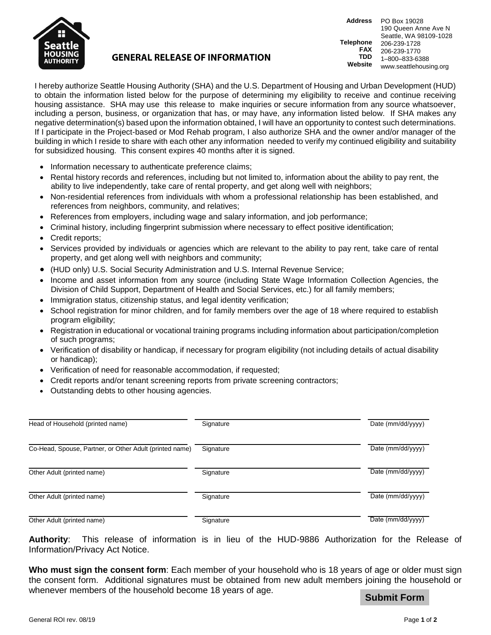

## **GENERAL RELEASE OF INFORMATION**

**Address** PO Box 19028 **Telephone FAX TDD Website** 190 Queen Anne Ave N Seattle, WA 98109-1028 206-239-1728 206-239-1770 1–800–833-6388 www.seattlehousing.org

I hereby authorize Seattle Housing Authority (SHA) and the U.S. Department of Housing and Urban Development (HUD) to obtain the information listed below for the purpose of determining my eligibility to receive and continue receiving housing assistance. SHA may use this release to make inquiries or secure information from any source whatsoever, including a person, business, or organization that has, or may have, any information listed below. If SHA makes any negative determination(s) based upon the information obtained, I will have an opportunity to contest such determinations. If I participate in the Project-based or Mod Rehab program, I also authorize SHA and the owner and/or manager of the building in which I reside to share with each other any information needed to verify my continued eligibility and suitability for subsidized housing. This consent expires 40 months after it is signed.

- Information necessary to authenticate preference claims;
- Rental history records and references, including but not limited to, information about the ability to pay rent, the ability to live independently, take care of rental property, and get along well with neighbors;
- Non-residential references from individuals with whom a professional relationship has been established, and references from neighbors, community, and relatives;
- References from employers, including wage and salary information, and job performance;
- Criminal history, including fingerprint submission where necessary to effect positive identification;
- Credit reports;
- Services provided by individuals or agencies which are relevant to the ability to pay rent, take care of rental property, and get along well with neighbors and community;
- (HUD only) U.S. Social Security Administration and U.S. Internal Revenue Service;
- Income and asset information from any source (including State Wage Information Collection Agencies, the Division of Child Support, Department of Health and Social Services, etc.) for all family members;
- Immigration status, citizenship status, and legal identity verification;
- School registration for minor children, and for family members over the age of 18 where required to establish program eligibility;
- Registration in educational or vocational training programs including information about participation/completion of such programs;
- Verification of disability or handicap, if necessary for program eligibility (not including details of actual disability or handicap);
- Verification of need for reasonable accommodation, if requested;
- Credit reports and/or tenant screening reports from private screening contractors;
- Outstanding debts to other housing agencies.

| Head of Household (printed name)                        | Signature | Date (mm/dd/yyyy) |
|---------------------------------------------------------|-----------|-------------------|
| Co-Head, Spouse, Partner, or Other Adult (printed name) | Signature | Date (mm/dd/yyyy) |
| Other Adult (printed name)                              | Signature | Date (mm/dd/yyyy) |
| Other Adult (printed name)                              | Signature | Date (mm/dd/yyyy) |
| Other Adult (printed name)                              | Signature | Date (mm/dd/yyyy) |

**Authority**: This release of information is in lieu of the HUD-9886 Authorization for the Release of Information/Privacy Act Notice.

**Who must sign the consent form**: Each member of your household who is 18 years of age or older must sign the consent form. Additional signatures must be obtained from new adult members joining the household or whenever members of the household become 18 years of age.

**Submit Form**